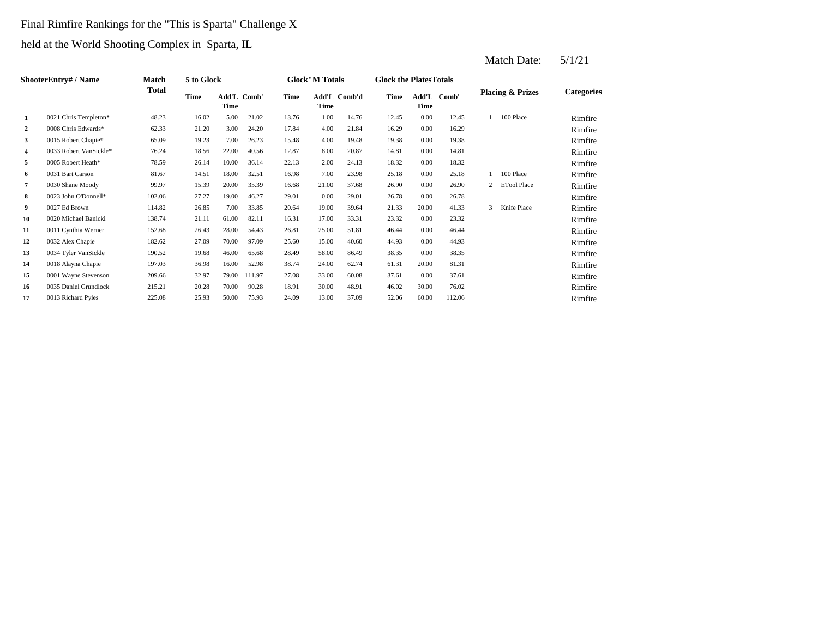## Final Rimfire Rankings for the "This is Sparta" Challenge X

held at the World Shooting Complex in Sparta, IL

|              | <b>ShooterEntry# / Name</b> | Match  | 5 to Glock |                            |        |             | <b>Glock</b> "M Totals |              | <b>Glock the Plates Totals</b> |       |             |                |                             |                   |
|--------------|-----------------------------|--------|------------|----------------------------|--------|-------------|------------------------|--------------|--------------------------------|-------|-------------|----------------|-----------------------------|-------------------|
|              |                             | Total  | Time       | Add'L Comb'<br><b>Time</b> |        | <b>Time</b> | Time                   | Add'L Comb'd | <b>Time</b>                    | Time  | Add'L Comb' |                | <b>Placing &amp; Prizes</b> | <b>Categories</b> |
| $\mathbf{1}$ | 0021 Chris Templeton*       | 48.23  | 16.02      | 5.00                       | 21.02  | 13.76       | 1.00                   | 14.76        | 12.45                          | 0.00  | 12.45       |                | 100 Place                   | Rimfire           |
| $\mathbf{2}$ | 0008 Chris Edwards*         | 62.33  | 21.20      | 3.00                       | 24.20  | 17.84       | 4.00                   | 21.84        | 16.29                          | 0.00  | 16.29       |                |                             | Rimfire           |
| 3            | 0015 Robert Chapie*         | 65.09  | 19.23      | 7.00                       | 26.23  | 15.48       | 4.00                   | 19.48        | 19.38                          | 0.00  | 19.38       |                |                             | Rimfire           |
| 4            | 0033 Robert VanSickle*      | 76.24  | 18.56      | 22.00                      | 40.56  | 12.87       | 8.00                   | 20.87        | 14.81                          | 0.00  | 14.81       |                |                             | Rimfire           |
| 5            | 0005 Robert Heath*          | 78.59  | 26.14      | 10.00                      | 36.14  | 22.13       | 2.00                   | 24.13        | 18.32                          | 0.00  | 18.32       |                |                             | Rimfire           |
| 6            | 0031 Bart Carson            | 81.67  | 14.51      | 18.00                      | 32.51  | 16.98       | 7.00                   | 23.98        | 25.18                          | 0.00  | 25.18       |                | 100 Place                   | Rimfire           |
| 7            | 0030 Shane Moody            | 99.97  | 15.39      | 20.00                      | 35.39  | 16.68       | 21.00                  | 37.68        | 26.90                          | 0.00  | 26.90       | $\overline{2}$ | <b>ETool Place</b>          | Rimfire           |
| 8            | 0023 John O'Donnell*        | 102.06 | 27.27      | 19.00                      | 46.27  | 29.01       | 0.00                   | 29.01        | 26.78                          | 0.00  | 26.78       |                |                             | Rimfire           |
| 9            | 0027 Ed Brown               | 114.82 | 26.85      | 7.00                       | 33.85  | 20.64       | 19.00                  | 39.64        | 21.33                          | 20.00 | 41.33       | 3              | Knife Place                 | Rimfire           |
| 10           | 0020 Michael Banicki        | 138.74 | 21.11      | 61.00                      | 82.11  | 16.31       | 17.00                  | 33.31        | 23.32                          | 0.00  | 23.32       |                |                             | Rimfire           |
| 11           | 0011 Cynthia Werner         | 152.68 | 26.43      | 28.00                      | 54.43  | 26.81       | 25.00                  | 51.81        | 46.44                          | 0.00  | 46.44       |                |                             | Rimfire           |
| 12           | 0032 Alex Chapie            | 182.62 | 27.09      | 70.00                      | 97.09  | 25.60       | 15.00                  | 40.60        | 44.93                          | 0.00  | 44.93       |                |                             | Rimfire           |
| 13           | 0034 Tyler VanSickle        | 190.52 | 19.68      | 46.00                      | 65.68  | 28.49       | 58.00                  | 86.49        | 38.35                          | 0.00  | 38.35       |                |                             | Rimfire           |
| 14           | 0018 Alayna Chapie          | 197.03 | 36.98      | 16.00                      | 52.98  | 38.74       | 24.00                  | 62.74        | 61.31                          | 20.00 | 81.31       |                |                             | Rimfire           |
| 15           | 0001 Wayne Stevenson        | 209.66 | 32.97      | 79.00                      | 111.97 | 27.08       | 33.00                  | 60.08        | 37.61                          | 0.00  | 37.61       |                |                             | Rimfire           |
| 16           | 0035 Daniel Grundlock       | 215.21 | 20.28      | 70.00                      | 90.28  | 18.91       | 30.00                  | 48.91        | 46.02                          | 30.00 | 76.02       |                |                             | Rimfire           |
| 17           | 0013 Richard Pyles          | 225.08 | 25.93      | 50.00                      | 75.93  | 24.09       | 13.00                  | 37.09        | 52.06                          | 60.00 | 112.06      |                |                             | Rimfire           |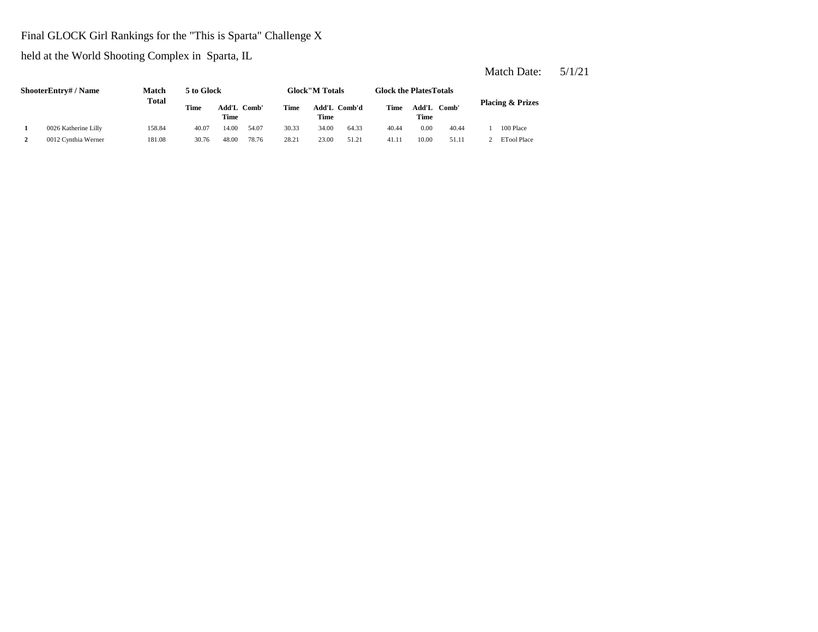## Final GLOCK Girl Rankings for the "This is Sparta" Challenge X

held at the World Shooting Complex in Sparta, IL

| <b>ShooterEntry#/Name</b> | Match  | 5 to Glock  |                      |         |             | <b>Glock</b> "M Totals |              | <b>Glock the Plates Totals</b> |       |             |                             |
|---------------------------|--------|-------------|----------------------|---------|-------------|------------------------|--------------|--------------------------------|-------|-------------|-----------------------------|
| <b>Total</b>              |        | <b>Time</b> | Add'L<br><b>Time</b> | - Comb' | <b>Time</b> | Time                   | Add'L Comb'd | Time                           | Time  | Add'L Comb' | <b>Placing &amp; Prizes</b> |
| 0026 Katherine Lilly      | 158.84 | 40.07       | 14.00                | 54.07   | 30.33       | 34.00                  | 64.33        | 40.44                          | 0.00  | 40.44       | 100 Place                   |
| 0012 Cynthia Werner       | 181.08 | 30.76       | 48.00                | 78.76   | 28.21       | 23.00                  | 51.21        | 41.11                          | 10.00 | 51.11       | <b>ETool Place</b>          |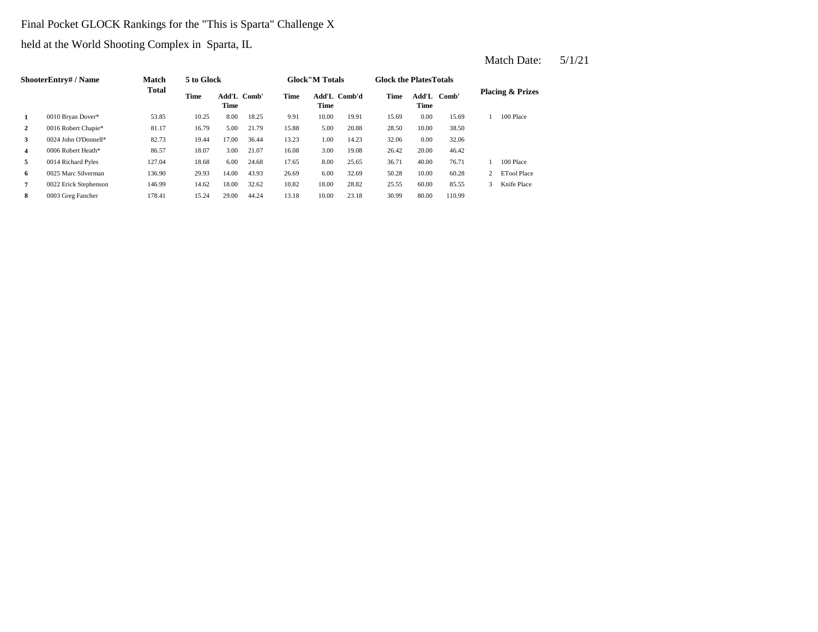## Final Pocket GLOCK Rankings for the "This is Sparta" Challenge X

held at the World Shooting Complex in Sparta, IL

|                | ShooterEntry# / Name  | Match        | 5 to Glock  |                     |       |       | <b>Glock</b> "M Totals |              | <b>Glock the PlatesTotals</b> |                     |        |   |                             |
|----------------|-----------------------|--------------|-------------|---------------------|-------|-------|------------------------|--------------|-------------------------------|---------------------|--------|---|-----------------------------|
|                |                       | <b>Total</b> | <b>Time</b> | Add'L Comb'<br>Time |       | Time  | Time                   | Add'L Comb'd | Time                          | Add'L Comb'<br>Time |        |   | <b>Placing &amp; Prizes</b> |
| 1              | 0010 Bryan Dover*     | 53.85        | 10.25       | 8.00                | 18.25 | 9.91  | 10.00                  | 19.91        | 15.69                         | 0.00                | 15.69  |   | 100 Place                   |
| $\overline{2}$ | 0016 Robert Chapie*   | 81.17        | 16.79       | 5.00                | 21.79 | 15.88 | 5.00                   | 20.88        | 28.50                         | 10.00               | 38.50  |   |                             |
| 3              | 0024 John O'Donnell*  | 82.73        | 19.44       | 17.00               | 36.44 | 13.23 | 1.00                   | 14.23        | 32.06                         | 0.00                | 32.06  |   |                             |
| 4              | 0006 Robert Heath*    | 86.57        | 18.07       | 3.00                | 21.07 | 16.08 | 3.00                   | 19.08        | 26.42                         | 20.00               | 46.42  |   |                             |
| 5              | 0014 Richard Pyles    | 127.04       | 18.68       | 6.00                | 24.68 | 17.65 | 8.00                   | 25.65        | 36.71                         | 40.00               | 76.71  |   | 100 Place                   |
| 6              | 0025 Marc Silverman   | 136.90       | 29.93       | 14.00               | 43.93 | 26.69 | 6.00                   | 32.69        | 50.28                         | 10.00               | 60.28  |   | <b>ETool Place</b>          |
| $\overline{7}$ | 0022 Erick Stephenson | 146.99       | 14.62       | 18.00               | 32.62 | 10.82 | 18.00                  | 28.82        | 25.55                         | 60.00               | 85.55  | 3 | Knife Place                 |
| 8              | 0003 Greg Fancher     | 178.41       | 15.24       | 29.00               | 44.24 | 13.18 | 10.00                  | 23.18        | 30.99                         | 80.00               | 110.99 |   |                             |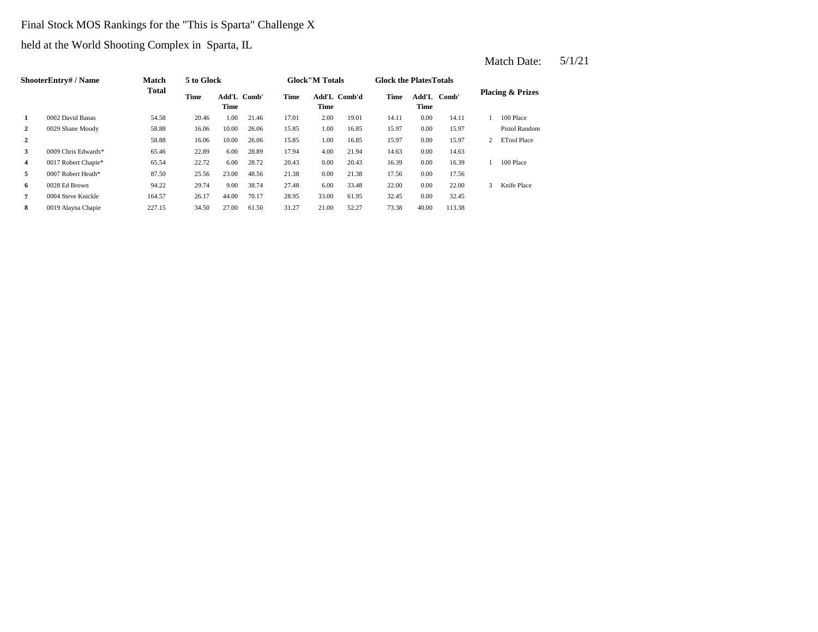# Final Stock MOS Rankings for the "This is Sparta" Challenge X

held at the World Shooting Complex in Sparta, IL

|                  | ShooterEntry# / Name | <b>Match</b> | 5 to Glock |                     |       |       | <b>Glock</b> "M Totals |              | <b>Glock the Plates Totals</b> |                     |        |   |                             |
|------------------|----------------------|--------------|------------|---------------------|-------|-------|------------------------|--------------|--------------------------------|---------------------|--------|---|-----------------------------|
|                  |                      | <b>Total</b> | Time       | Add'L Comb'<br>Time |       | Time  | Time                   | Add'L Comb'd | <b>Time</b>                    | Add'L Comb'<br>Time |        |   | <b>Placing &amp; Prizes</b> |
| 1                | 0002 David Banas     | 54.58        | 20.46      | 1.00                | 21.46 | 17.01 | 2.00                   | 19.01        | 14.11                          | 0.00                | 14.11  |   | 100 Place                   |
| 2                | 0029 Shane Moody     | 58.88        | 16.06      | 10.00               | 26.06 | 15.85 | 1.00                   | 16.85        | 15.97                          | 0.00                | 15.97  |   | Pistol Random               |
| $\boldsymbol{2}$ |                      | 58.88        | 16.06      | 10.00               | 26.06 | 15.85 | 1.00                   | 16.85        | 15.97                          | 0.00                | 15.97  | 2 | <b>ETool Place</b>          |
| 3                | 0009 Chris Edwards*  | 65.46        | 22.89      | 6.00                | 28.89 | 17.94 | 4.00                   | 21.94        | 14.63                          | 0.00                | 14.63  |   |                             |
| 4                | 0017 Robert Chapie*  | 65.54        | 22.72      | 6.00                | 28.72 | 20.43 | 0.00                   | 20.43        | 16.39                          | 0.00                | 16.39  |   | 100 Place                   |
| 5                | 0007 Robert Heath*   | 87.50        | 25.56      | 23.00               | 48.56 | 21.38 | 0.00                   | 21.38        | 17.56                          | 0.00                | 17.56  |   |                             |
| 6                | 0028 Ed Brown        | 94.22        | 29.74      | 9.00                | 38.74 | 27.48 | 6.00                   | 33.48        | 22.00                          | 0.00                | 22.00  | 3 | Knife Place                 |
| 7                | 0004 Steve Knickle   | 164.57       | 26.17      | 44.00               | 70.17 | 28.95 | 33.00                  | 61.95        | 32.45                          | 0.00                | 32.45  |   |                             |
| 8                | 0019 Alayna Chapie   | 227.15       | 34.50      | 27.00               | 61.50 | 31.27 | 21.00                  | 52.27        | 73.38                          | 40.00               | 113.38 |   |                             |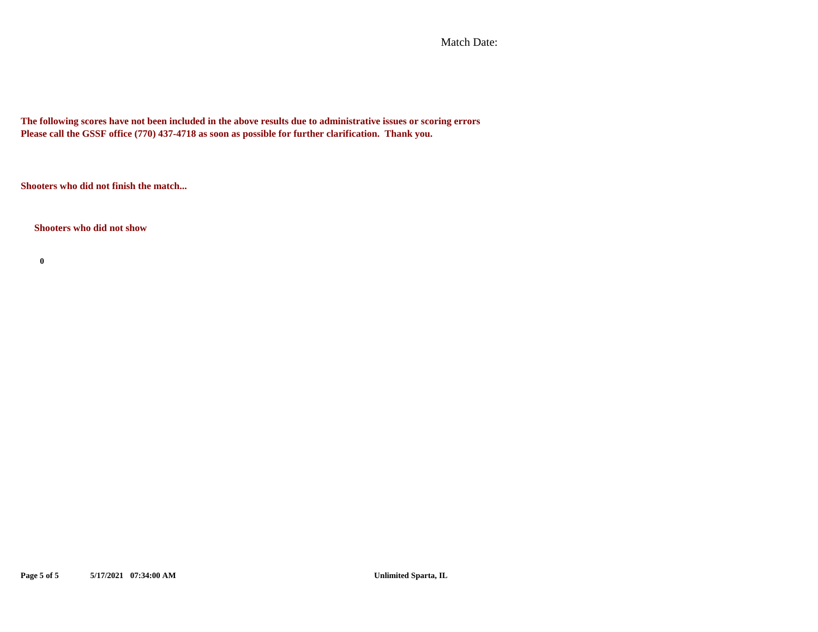Match Date:

**The following scores have not been included in the above results due to administrative issues or scoring errors Please call the GSSF office (770) 437-4718 as soon as possible for further clarification. Thank you.**

**Shooters who did not finish the match...**

**Shooters who did not show**

**0**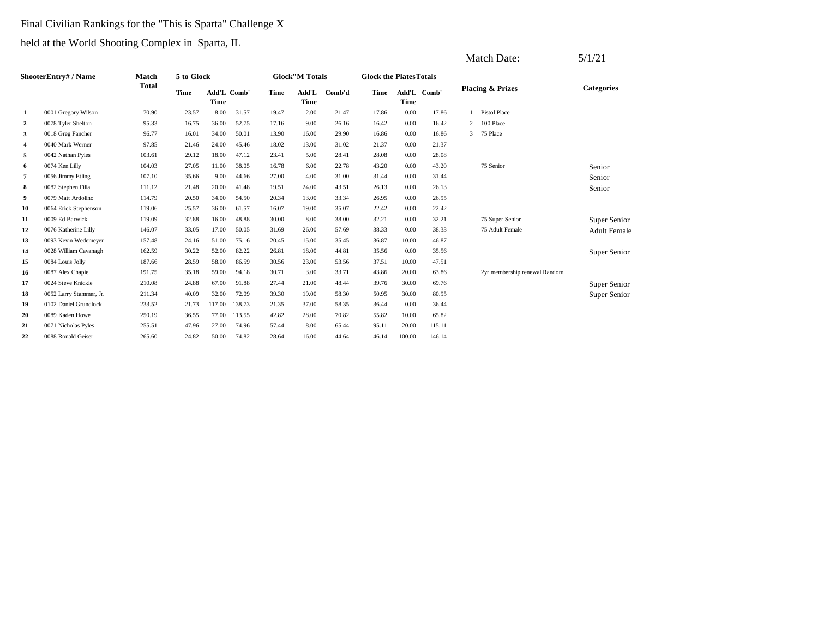## Final Civilian Rankings for the "This is Sparta" Challenge X

|    |                         |              |            |             |             |       |                       |        |                                |             |             |   | <b>Match Date:</b>            | 5/1/21              |
|----|-------------------------|--------------|------------|-------------|-------------|-------|-----------------------|--------|--------------------------------|-------------|-------------|---|-------------------------------|---------------------|
|    | ShooterEntry# / Name    | <b>Match</b> | 5 to Glock |             |             |       | <b>Glock"M Totals</b> |        | <b>Glock the Plates Totals</b> |             |             |   |                               |                     |
|    |                         | <b>Total</b> | Time       | <b>Time</b> | Add'L Comb' | Time  | Add'L<br><b>Time</b>  | Comb'd | Time                           | <b>Time</b> | Add'L Comb' |   | <b>Placing &amp; Prizes</b>   | <b>Categories</b>   |
| 1  | 0001 Gregory Wilson     | 70.90        | 23.57      | 8.00        | 31.57       | 19.47 | 2.00                  | 21.47  | 17.86                          | 0.00        | 17.86       |   | <b>Pistol Place</b>           |                     |
| 2  | 0078 Tyler Shelton      | 95.33        | 16.75      | 36.00       | 52.75       | 17.16 | 9.00                  | 26.16  | 16.42                          | 0.00        | 16.42       | 2 | 100 Place                     |                     |
| 3  | 0018 Greg Fancher       | 96.77        | 16.01      | 34.00       | 50.01       | 13.90 | 16.00                 | 29.90  | 16.86                          | 0.00        | 16.86       | 3 | 75 Place                      |                     |
| 4  | 0040 Mark Werner        | 97.85        | 21.46      | 24.00       | 45.46       | 18.02 | 13.00                 | 31.02  | 21.37                          | 0.00        | 21.37       |   |                               |                     |
| 5  | 0042 Nathan Pyles       | 103.61       | 29.12      | 18.00       | 47.12       | 23.41 | 5.00                  | 28.41  | 28.08                          | 0.00        | 28.08       |   |                               |                     |
| 6  | 0074 Ken Lilly          | 104.03       | 27.05      | 11.00       | 38.05       | 16.78 | 6.00                  | 22.78  | 43.20                          | 0.00        | 43.20       |   | 75 Senior                     | Senior              |
| 7  | 0056 Jimmy Etling       | 107.10       | 35.66      | 9.00        | 44.66       | 27.00 | 4.00                  | 31.00  | 31.44                          | 0.00        | 31.44       |   |                               | Senior              |
| 8  | 0082 Stephen Filla      | 111.12       | 21.48      | 20.00       | 41.48       | 19.51 | 24.00                 | 43.51  | 26.13                          | 0.00        | 26.13       |   |                               | Senior              |
| 9  | 0079 Matt Ardolino      | 114.79       | 20.50      | 34.00       | 54.50       | 20.34 | 13.00                 | 33.34  | 26.95                          | 0.00        | 26.95       |   |                               |                     |
| 10 | 0064 Erick Stephenson   | 119.06       | 25.57      | 36.00       | 61.57       | 16.07 | 19.00                 | 35.07  | 22.42                          | 0.00        | 22.42       |   |                               |                     |
| 11 | 0009 Ed Barwick         | 119.09       | 32.88      | 16.00       | 48.88       | 30.00 | 8.00                  | 38.00  | 32.21                          | 0.00        | 32.21       |   | 75 Super Senior               | Super Senior        |
| 12 | 0076 Katherine Lilly    | 146.07       | 33.05      | 17.00       | 50.05       | 31.69 | 26.00                 | 57.69  | 38.33                          | 0.00        | 38.33       |   | 75 Adult Female               | <b>Adult Female</b> |
| 13 | 0093 Kevin Wedemeyer    | 157.48       | 24.16      | 51.00       | 75.16       | 20.45 | 15.00                 | 35.45  | 36.87                          | 10.00       | 46.87       |   |                               |                     |
| 14 | 0028 William Cavanagh   | 162.59       | 30.22      | 52.00       | 82.22       | 26.81 | 18.00                 | 44.81  | 35.56                          | 0.00        | 35.56       |   |                               | Super Senior        |
| 15 | 0084 Louis Jolly        | 187.66       | 28.59      | 58.00       | 86.59       | 30.56 | 23.00                 | 53.56  | 37.51                          | 10.00       | 47.51       |   |                               |                     |
| 16 | 0087 Alex Chapie        | 191.75       | 35.18      | 59.00       | 94.18       | 30.71 | 3.00                  | 33.71  | 43.86                          | 20.00       | 63.86       |   | 2yr membership renewal Random |                     |
| 17 | 0024 Steve Knickle      | 210.08       | 24.88      | 67.00       | 91.88       | 27.44 | 21.00                 | 48.44  | 39.76                          | 30.00       | 69.76       |   |                               | Super Senior        |
| 18 | 0052 Larry Stammer, Jr. | 211.34       | 40.09      | 32.00       | 72.09       | 39.30 | 19.00                 | 58.30  | 50.95                          | 30.00       | 80.95       |   |                               | Super Senior        |
| 19 | 0102 Daniel Grundlock   | 233.52       | 21.73      | 117.00      | 138.73      | 21.35 | 37.00                 | 58.35  | 36.44                          | 0.00        | 36.44       |   |                               |                     |
| 20 | 0089 Kaden Howe         | 250.19       | 36.55      | 77.00       | 113.55      | 42.82 | 28.00                 | 70.82  | 55.82                          | 10.00       | 65.82       |   |                               |                     |
| 21 | 0071 Nicholas Pyles     | 255.51       | 47.96      | 27.00       | 74.96       | 57.44 | 8.00                  | 65.44  | 95.11                          | 20.00       | 115.11      |   |                               |                     |
| 22 | 0088 Ronald Geiser      | 265.60       | 24.82      | 50.00       | 74.82       | 28.64 | 16.00                 | 44.64  | 46.14                          | 100.00      | 146.14      |   |                               |                     |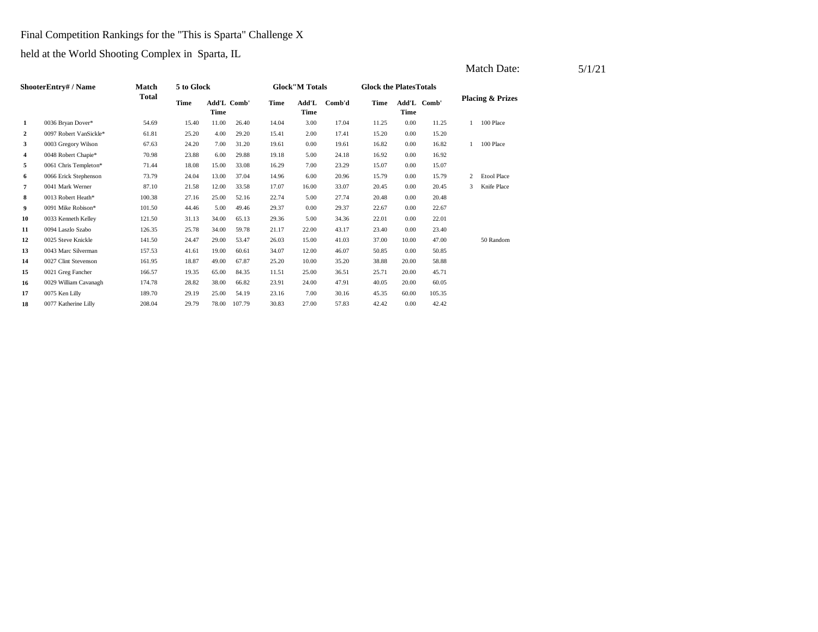## Final Competition Rankings for the "This is Sparta" Challenge X

|                |                        |              |            |                     |        |       |                       |        |                                |       |             |   | Match Date:                 | 5/1/21 |
|----------------|------------------------|--------------|------------|---------------------|--------|-------|-----------------------|--------|--------------------------------|-------|-------------|---|-----------------------------|--------|
|                | ShooterEntry# / Name   | <b>Match</b> | 5 to Glock |                     |        |       | <b>Glock"M Totals</b> |        | <b>Glock the Plates Totals</b> |       |             |   |                             |        |
|                |                        | <b>Total</b> | Time       | Add'L Comb'<br>Time |        | Time  | Add'L<br>Time         | Comb'd | Time                           | Time  | Add'L Comb' |   | <b>Placing &amp; Prizes</b> |        |
| 1              | 0036 Bryan Dover*      | 54.69        | 15.40      | 11.00               | 26.40  | 14.04 | 3.00                  | 17.04  | 11.25                          | 0.00  | 11.25       |   | 100 Place                   |        |
| 2              | 0097 Robert VanSickle* | 61.81        | 25.20      | 4.00                | 29.20  | 15.41 | 2.00                  | 17.41  | 15.20                          | 0.00  | 15.20       |   |                             |        |
| 3              | 0003 Gregory Wilson    | 67.63        | 24.20      | 7.00                | 31.20  | 19.61 | 0.00                  | 19.61  | 16.82                          | 0.00  | 16.82       |   | 100 Place                   |        |
| $\overline{4}$ | 0048 Robert Chapie*    | 70.98        | 23.88      | 6.00                | 29.88  | 19.18 | 5.00                  | 24.18  | 16.92                          | 0.00  | 16.92       |   |                             |        |
| 5              | 0061 Chris Templeton*  | 71.44        | 18.08      | 15.00               | 33.08  | 16.29 | 7.00                  | 23.29  | 15.07                          | 0.00  | 15.07       |   |                             |        |
| 6              | 0066 Erick Stephenson  | 73.79        | 24.04      | 13.00               | 37.04  | 14.96 | 6.00                  | 20.96  | 15.79                          | 0.00  | 15.79       | 2 | <b>Etool Place</b>          |        |
| 7              | 0041 Mark Werner       | 87.10        | 21.58      | 12.00               | 33.58  | 17.07 | 16.00                 | 33.07  | 20.45                          | 0.00  | 20.45       | 3 | Knife Place                 |        |
| 8              | 0013 Robert Heath*     | 100.38       | 27.16      | 25.00               | 52.16  | 22.74 | 5.00                  | 27.74  | 20.48                          | 0.00  | 20.48       |   |                             |        |
| 9              | 0091 Mike Robison*     | 101.50       | 44.46      | 5.00                | 49.46  | 29.37 | 0.00                  | 29.37  | 22.67                          | 0.00  | 22.67       |   |                             |        |
| 10             | 0033 Kenneth Kelley    | 121.50       | 31.13      | 34.00               | 65.13  | 29.36 | 5.00                  | 34.36  | 22.01                          | 0.00  | 22.01       |   |                             |        |
| 11             | 0094 Laszlo Szabo      | 126.35       | 25.78      | 34.00               | 59.78  | 21.17 | 22.00                 | 43.17  | 23.40                          | 0.00  | 23.40       |   |                             |        |
| 12             | 0025 Steve Knickle     | 141.50       | 24.47      | 29.00               | 53.47  | 26.03 | 15.00                 | 41.03  | 37.00                          | 10.00 | 47.00       |   | 50 Random                   |        |
| 13             | 0043 Marc Silverman    | 157.53       | 41.61      | 19.00               | 60.61  | 34.07 | 12.00                 | 46.07  | 50.85                          | 0.00  | 50.85       |   |                             |        |
| 14             | 0027 Clint Stevenson   | 161.95       | 18.87      | 49.00               | 67.87  | 25.20 | 10.00                 | 35.20  | 38.88                          | 20.00 | 58.88       |   |                             |        |
| 15             | 0021 Greg Fancher      | 166.57       | 19.35      | 65.00               | 84.35  | 11.51 | 25.00                 | 36.51  | 25.71                          | 20.00 | 45.71       |   |                             |        |
| 16             | 0029 William Cavanagh  | 174.78       | 28.82      | 38.00               | 66.82  | 23.91 | 24.00                 | 47.91  | 40.05                          | 20.00 | 60.05       |   |                             |        |
| 17             | 0075 Ken Lilly         | 189.70       | 29.19      | 25.00               | 54.19  | 23.16 | 7.00                  | 30.16  | 45.35                          | 60.00 | 105.35      |   |                             |        |
| 18             | 0077 Katherine Lilly   | 208.04       | 29.79      | 78.00               | 107.79 | 30.83 | 27.00                 | 57.83  | 42.42                          | 0.00  | 42.42       |   |                             |        |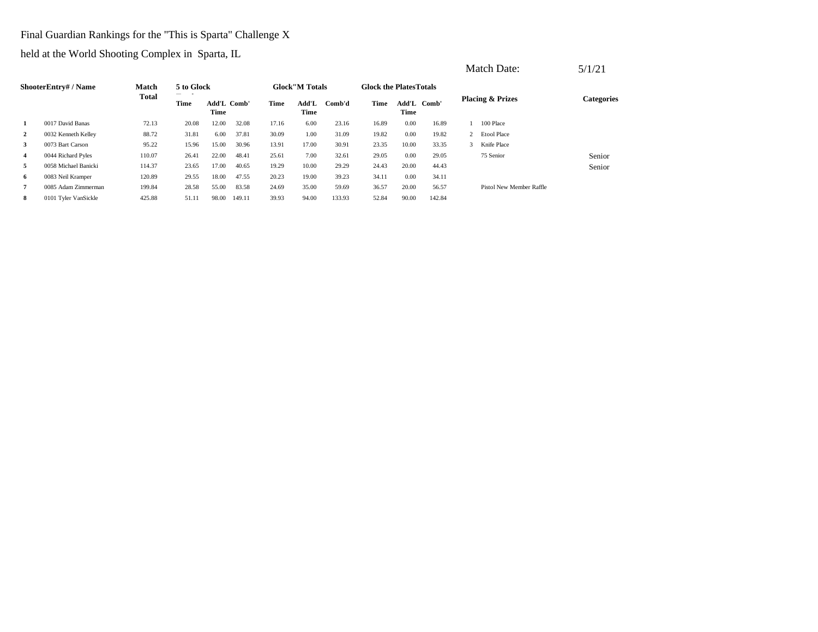## Final Guardian Rankings for the "This is Sparta" Challenge X

|                |                           |              |            |                     |        |       |                        |        | <b>Glock the Plates Totals</b> |       |             |   | <b>Match Date:</b>          | 5/1/21            |
|----------------|---------------------------|--------------|------------|---------------------|--------|-------|------------------------|--------|--------------------------------|-------|-------------|---|-----------------------------|-------------------|
|                | <b>ShooterEntry#/Name</b> | <b>Match</b> | 5 to Glock |                     |        |       | <b>Glock</b> "M Totals |        |                                |       |             |   |                             |                   |
|                |                           | <b>Total</b> | Time       | Add'L Comb'<br>Time |        | Time  | Add'L<br>Time          | Comb'd | Time                           | Time  | Add'L Comb' |   | <b>Placing &amp; Prizes</b> | <b>Categories</b> |
|                | 0017 David Banas          | 72.13        | 20.08      | 12.00               | 32.08  | 17.16 | 6.00                   | 23.16  | 16.89                          | 0.00  | 16.89       |   | 100 Place                   |                   |
| 2              | 0032 Kenneth Kelley       | 88.72        | 31.81      | 6.00                | 37.81  | 30.09 | 1.00                   | 31.09  | 19.82                          | 0.00  | 19.82       |   | 2 Etool Place               |                   |
| 3              | 0073 Bart Carson          | 95.22        | 15.96      | 15.00               | 30.96  | 13.91 | 17.00                  | 30.91  | 23.35                          | 10.00 | 33.35       | 3 | Knife Place                 |                   |
| $\overline{4}$ | 0044 Richard Pyles        | 110.07       | 26.41      | 22.00               | 48.41  | 25.61 | 7.00                   | 32.61  | 29.05                          | 0.00  | 29.05       |   | 75 Senior                   | Senior            |
| 5              | 0058 Michael Banicki      | 114.37       | 23.65      | 17.00               | 40.65  | 19.29 | 10.00                  | 29.29  | 24.43                          | 20.00 | 44.43       |   |                             | Senior            |
| 6              | 0083 Neil Kramper         | 120.89       | 29.55      | 18.00               | 47.55  | 20.23 | 19.00                  | 39.23  | 34.11                          | 0.00  | 34.11       |   |                             |                   |
| 7              | 0085 Adam Zimmerman       | 199.84       | 28.58      | 55.00               | 83.58  | 24.69 | 35.00                  | 59.69  | 36.57                          | 20.00 | 56.57       |   | Pistol New Member Raffle    |                   |
| 8              | 0101 Tyler VanSickle      | 425.88       | 51.11      | 98.00               | 149.11 | 39.93 | 94.00                  | 133.93 | 52.84                          | 90.00 | 142.84      |   |                             |                   |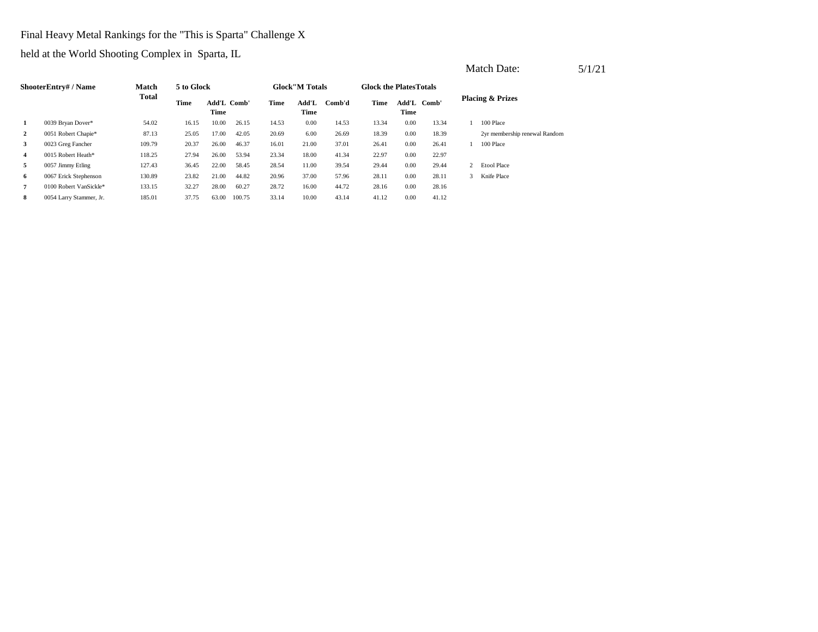## Final Heavy Metal Rankings for the "This is Sparta" Challenge X

|                |                         |              |            |                     |        |       |                        |        |                                |      |             |   | Match Date:                   | 5/1/21 |
|----------------|-------------------------|--------------|------------|---------------------|--------|-------|------------------------|--------|--------------------------------|------|-------------|---|-------------------------------|--------|
|                | ShooterEntry# / Name    | Match        | 5 to Glock |                     |        |       | <b>Glock</b> "M Totals |        | <b>Glock the Plates Totals</b> |      |             |   |                               |        |
|                | 0039 Bryan Dover*       | <b>Total</b> | Time       | Add'L Comb'<br>Time |        | Time  | Add'L<br>Time          | Comb'd | Time                           | Time | Add'L Comb' |   | <b>Placing &amp; Prizes</b>   |        |
|                |                         | 54.02        | 16.15      | 10.00               | 26.15  | 14.53 | 0.00                   | 14.53  | 13.34                          | 0.00 | 13.34       |   | 100 Place                     |        |
| $\overline{2}$ | 0051 Robert Chapie*     | 87.13        | 25.05      | 17.00               | 42.05  | 20.69 | 6.00                   | 26.69  | 18.39                          | 0.00 | 18.39       |   | 2yr membership renewal Random |        |
| 3              | 0023 Greg Fancher       | 109.79       | 20.37      | 26.00               | 46.37  | 16.01 | 21.00                  | 37.01  | 26.41                          | 0.00 | 26.41       |   | 100 Place                     |        |
| 4              | 0015 Robert Heath*      | 118.25       | 27.94      | 26.00               | 53.94  | 23.34 | 18.00                  | 41.34  | 22.97                          | 0.00 | 22.97       |   |                               |        |
| 5              | 0057 Jimmy Etling       | 127.43       | 36.45      | 22.00               | 58.45  | 28.54 | 11.00                  | 39.54  | 29.44                          | 0.00 | 29.44       |   | <b>Etool Place</b>            |        |
| 6              | 0067 Erick Stephenson   | 130.89       | 23.82      | 21.00               | 44.82  | 20.96 | 37.00                  | 57.96  | 28.11                          | 0.00 | 28.11       | 3 | Knife Place                   |        |
| $\overline{7}$ | 0100 Robert VanSickle*  | 133.15       | 32.27      | 28.00               | 60.27  | 28.72 | 16.00                  | 44.72  | 28.16                          | 0.00 | 28.16       |   |                               |        |
| 8              | 0054 Larry Stammer, Jr. | 185.01       | 37.75      | 63.00               | 100.75 | 33.14 | 10.00                  | 43.14  | 41.12                          | 0.00 | 41.12       |   |                               |        |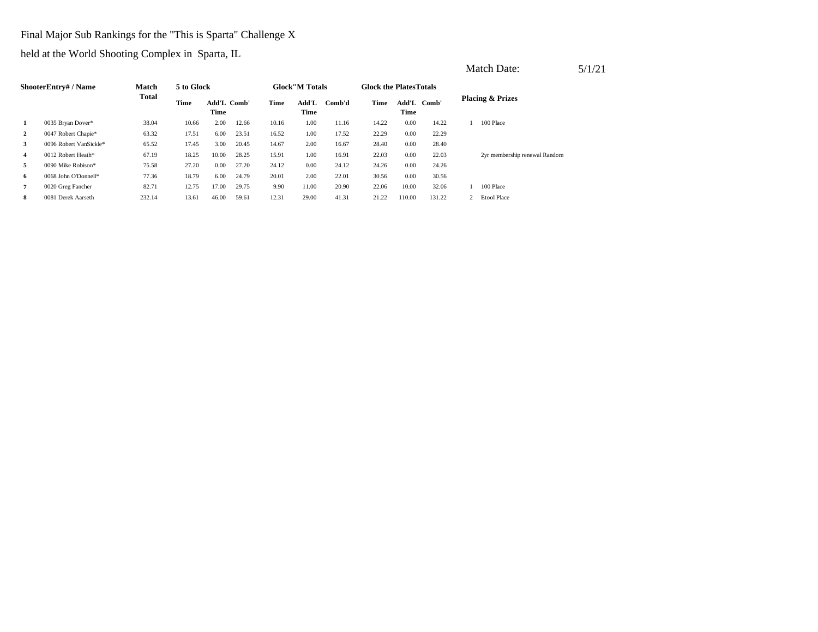## Final Major Sub Rankings for the "This is Sparta" Challenge X

|              |                        |        |            |                     |       |       |                        |        |                                |        |             | Match Date:                   | 5/1/21 |
|--------------|------------------------|--------|------------|---------------------|-------|-------|------------------------|--------|--------------------------------|--------|-------------|-------------------------------|--------|
|              | ShooterEntry# / Name   | Match  | 5 to Glock |                     |       |       | <b>Glock</b> "M Totals |        | <b>Glock the Plates Totals</b> |        |             |                               |        |
|              |                        | Total  | Time       | Add'L Comb'<br>Time |       | Time  | Add'L<br>Time          | Comb'd | Time                           | Time   | Add'L Comb' | <b>Placing &amp; Prizes</b>   |        |
| 1            | 0035 Bryan Dover*      | 38.04  | 10.66      | 2.00                | 12.66 | 10.16 | 1.00                   | 11.16  | 14.22                          | 0.00   | 14.22       | 100 Place                     |        |
| $\mathbf{2}$ | 0047 Robert Chapie*    | 63.32  | 17.51      | 6.00                | 23.51 | 16.52 | 1.00                   | 17.52  | 22.29                          | 0.00   | 22.29       |                               |        |
| 3            | 0096 Robert VanSickle* | 65.52  | 17.45      | 3.00                | 20.45 | 14.67 | 2.00                   | 16.67  | 28.40                          | 0.00   | 28.40       |                               |        |
| 4            | 0012 Robert Heath*     | 67.19  | 18.25      | 10.00               | 28.25 | 15.91 | 1.00                   | 16.91  | 22.03                          | 0.00   | 22.03       | 2yr membership renewal Random |        |
| 5            | 0090 Mike Robison*     | 75.58  | 27.20      | 0.00                | 27.20 | 24.12 | 0.00                   | 24.12  | 24.26                          | 0.00   | 24.26       |                               |        |
| 6            | 0068 John O'Donnell*   | 77.36  | 18.79      | 6.00                | 24.79 | 20.01 | 2.00                   | 22.01  | 30.56                          | 0.00   | 30.56       |                               |        |
| 7            | 0020 Greg Fancher      | 82.71  | 12.75      | 17.00               | 29.75 | 9.90  | 11.00                  | 20.90  | 22.06                          | 10.00  | 32.06       | 100 Place                     |        |
| 8            | 0081 Derek Aarseth     | 232.14 | 13.61      | 46.00               | 59.61 | 12.31 | 29.00                  | 41.31  | 21.22                          | 110.00 | 131.22      | <b>Etool Place</b>            |        |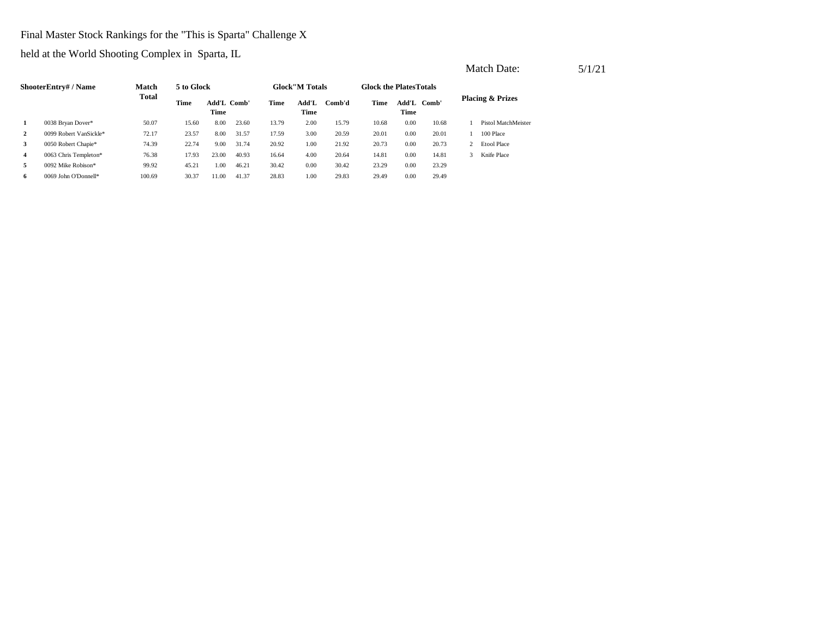#### Final Master Stock Rankings for the "This is Sparta" Challenge X

|                |                        |              |            |                     |       |       |                        |        |                                |      |             |               | Match Date:                 | 5/1/21 |
|----------------|------------------------|--------------|------------|---------------------|-------|-------|------------------------|--------|--------------------------------|------|-------------|---------------|-----------------------------|--------|
|                | ShooterEntry# / Name   | <b>Match</b> | 5 to Glock |                     |       |       | <b>Glock</b> "M Totals |        | <b>Glock the Plates Totals</b> |      |             |               |                             |        |
|                | 0038 Bryan Dover*      | <b>Total</b> | Time       | Add'L Comb'<br>Time |       | Time  | Add'L<br>Time          | Comb'd | Time                           | Time | Add'L Comb' |               | <b>Placing &amp; Prizes</b> |        |
|                |                        | 50.07        | 15.60      | 8.00                | 23.60 | 13.79 | 2.00                   | 15.79  | 10.68                          | 0.00 | 10.68       |               | Pistol MatchMeister         |        |
| 2              | 0099 Robert VanSickle* | 72.17        | 23.57      | 8.00                | 31.57 | 17.59 | 3.00                   | 20.59  | 20.01                          | 0.00 | 20.01       |               | 100 Place                   |        |
| 3              | 0050 Robert Chapie*    | 74.39        | 22.74      | 9.00                | 31.74 | 20.92 | 1.00                   | 21.92  | 20.73                          | 0.00 | 20.73       | 2             | <b>Etool Place</b>          |        |
| $\overline{4}$ | 0063 Chris Templeton*  | 76.38        | 17.93      | 23.00               | 40.93 | 16.64 | 4.00                   | 20.64  | 14.81                          | 0.00 | 14.81       | $\mathcal{R}$ | Knife Place                 |        |
| 5              | 0092 Mike Robison*     | 99.92        | 45.21      | 1.00                | 46.21 | 30.42 | 0.00                   | 30.42  | 23.29                          | 0.00 | 23.29       |               |                             |        |
| -6             | 0069 John O'Donnell*   | 100.69       | 30.37      | 11.00               | 41.37 | 28.83 | 1.00                   | 29.83  | 29.49                          | 0.00 | 29.49       |               |                             |        |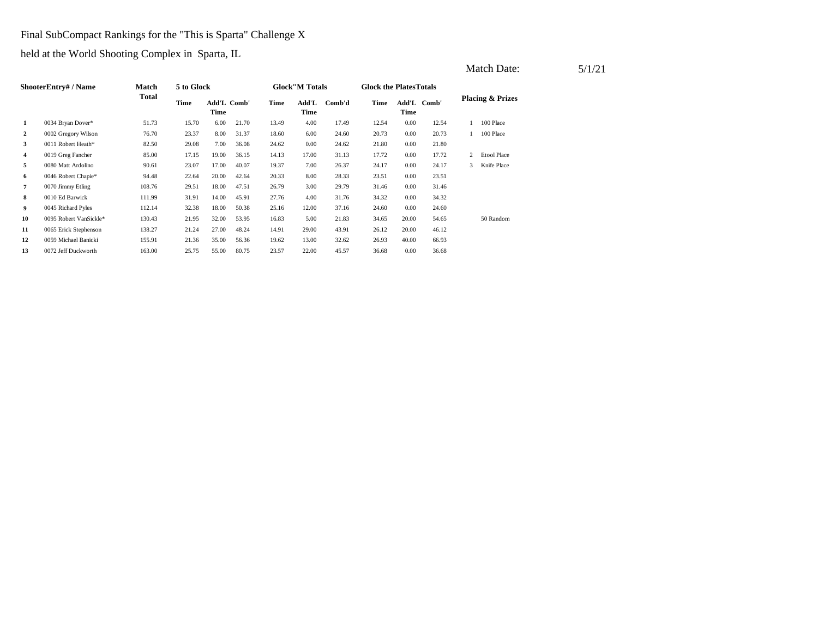#### Final SubCompact Rankings for the "This is Sparta" Challenge X

held at the World Shooting Complex in Sparta, IL

|    |                           |        |            |       |             |       |                        |        |                               | Match Date: | 5/1/21      |               |                             |  |  |
|----|---------------------------|--------|------------|-------|-------------|-------|------------------------|--------|-------------------------------|-------------|-------------|---------------|-----------------------------|--|--|
|    | <b>ShooterEntry#/Name</b> | Match  | 5 to Glock |       |             |       | <b>Glock</b> "M Totals |        | <b>Glock the PlatesTotals</b> |             |             |               |                             |  |  |
|    |                           | Total  | Time       | Time  | Add'L Comb' | Time  | Add'L<br>Time          | Comb'd | Time                          | Time        | Add'L Comb' |               | <b>Placing &amp; Prizes</b> |  |  |
| 1  | 0034 Bryan Dover*         | 51.73  | 15.70      | 6.00  | 21.70       | 13.49 | 4.00                   | 17.49  | 12.54                         | 0.00        | 12.54       |               | 100 Place                   |  |  |
| 2  | 0002 Gregory Wilson       | 76.70  | 23.37      | 8.00  | 31.37       | 18.60 | 6.00                   | 24.60  | 20.73                         | 0.00        | 20.73       |               | 100 Place                   |  |  |
| 3  | 0011 Robert Heath*        | 82.50  | 29.08      | 7.00  | 36.08       | 24.62 | 0.00                   | 24.62  | 21.80                         | 0.00        | 21.80       |               |                             |  |  |
| 4  | 0019 Greg Fancher         | 85.00  | 17.15      | 19.00 | 36.15       | 14.13 | 17.00                  | 31.13  | 17.72                         | 0.00        | 17.72       |               | 2 Etool Place               |  |  |
| 5  | 0080 Matt Ardolino        | 90.61  | 23.07      | 17.00 | 40.07       | 19.37 | 7.00                   | 26.37  | 24.17                         | 0.00        | 24.17       | $\mathcal{R}$ | Knife Place                 |  |  |
| 6  | 0046 Robert Chapie*       | 94.48  | 22.64      | 20.00 | 42.64       | 20.33 | 8.00                   | 28.33  | 23.51                         | 0.00        | 23.51       |               |                             |  |  |
| 7  | 0070 Jimmy Etling         | 108.76 | 29.51      | 18.00 | 47.51       | 26.79 | 3.00                   | 29.79  | 31.46                         | 0.00        | 31.46       |               |                             |  |  |
| 8  | 0010 Ed Barwick           | 111.99 | 31.91      | 14.00 | 45.91       | 27.76 | 4.00                   | 31.76  | 34.32                         | 0.00        | 34.32       |               |                             |  |  |
| 9  | 0045 Richard Pyles        | 112.14 | 32.38      | 18.00 | 50.38       | 25.16 | 12.00                  | 37.16  | 24.60                         | 0.00        | 24.60       |               |                             |  |  |
| 10 | 0095 Robert VanSickle*    | 130.43 | 21.95      | 32.00 | 53.95       | 16.83 | 5.00                   | 21.83  | 34.65                         | 20.00       | 54.65       |               | 50 Random                   |  |  |

32.62 40.00 66.93

**11** 29.00 26.12 0065 Erick Stephenson 138.27 21.24 27.00 48.24 14.91 43.91 20.00 46.12

**13** 22.00 36.68 0.00 36.68 0072 Jeff Duckworth 163.00 25.75 55.00 80.75 23.57 45.57

**12** 13.00 26.93 0059 Michael Banicki 155.91 21.36 35.00 56.36 19.62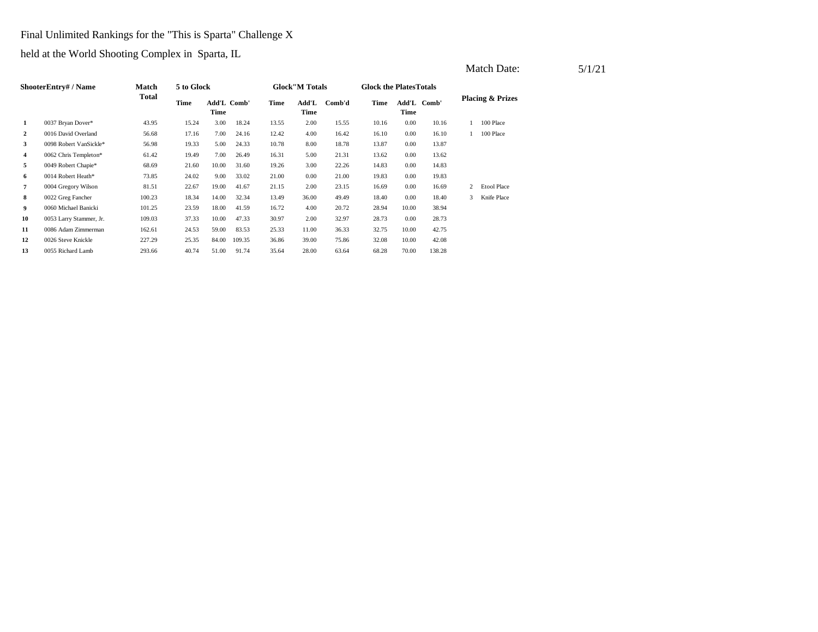## Final Unlimited Rankings for the "This is Sparta" Challenge X

| ShooterEntry# / Name |                         | <b>Match</b> | 5 to Glock |                     |        | <b>Glock</b> "M Totals |               |        | <b>Glock the Plates Totals</b> |       |             |                             |                    |
|----------------------|-------------------------|--------------|------------|---------------------|--------|------------------------|---------------|--------|--------------------------------|-------|-------------|-----------------------------|--------------------|
|                      |                         | <b>Total</b> |            | Add'L Comb'<br>Time |        | Time                   | Add'L<br>Time | Comb'd | Time                           | Time  | Add'L Comb' | <b>Placing &amp; Prizes</b> |                    |
| 1                    | 0037 Bryan Dover*       | 43.95        | 15.24      | 3.00                | 18.24  | 13.55                  | 2.00          | 15.55  | 10.16                          | 0.00  | 10.16       |                             | 100 Place          |
| 2                    | 0016 David Overland     | 56.68        | 17.16      | 7.00                | 24.16  | 12.42                  | 4.00          | 16.42  | 16.10                          | 0.00  | 16.10       |                             | 100 Place          |
| 3                    | 0098 Robert VanSickle*  | 56.98        | 19.33      | 5.00                | 24.33  | 10.78                  | 8.00          | 18.78  | 13.87                          | 0.00  | 13.87       |                             |                    |
| 4                    | 0062 Chris Templeton*   | 61.42        | 19.49      | 7.00                | 26.49  | 16.31                  | 5.00          | 21.31  | 13.62                          | 0.00  | 13.62       |                             |                    |
| 5                    | 0049 Robert Chapie*     | 68.69        | 21.60      | 10.00               | 31.60  | 19.26                  | 3.00          | 22.26  | 14.83                          | 0.00  | 14.83       |                             |                    |
| 6                    | 0014 Robert Heath*      | 73.85        | 24.02      | 9.00                | 33.02  | 21.00                  | 0.00          | 21.00  | 19.83                          | 0.00  | 19.83       |                             |                    |
| 7                    | 0004 Gregory Wilson     | 81.51        | 22.67      | 19.00               | 41.67  | 21.15                  | 2.00          | 23.15  | 16.69                          | 0.00  | 16.69       | 2                           | <b>Etool Place</b> |
| 8                    | 0022 Greg Fancher       | 100.23       | 18.34      | 14.00               | 32.34  | 13.49                  | 36.00         | 49.49  | 18.40                          | 0.00  | 18.40       | 3                           | Knife Place        |
| 9                    | 0060 Michael Banicki    | 101.25       | 23.59      | 18.00               | 41.59  | 16.72                  | 4.00          | 20.72  | 28.94                          | 10.00 | 38.94       |                             |                    |
| 10                   | 0053 Larry Stammer, Jr. | 109.03       | 37.33      | 10.00               | 47.33  | 30.97                  | 2.00          | 32.97  | 28.73                          | 0.00  | 28.73       |                             |                    |
| 11                   | 0086 Adam Zimmerman     | 162.61       | 24.53      | 59.00               | 83.53  | 25.33                  | 11.00         | 36.33  | 32.75                          | 10.00 | 42.75       |                             |                    |
| 12                   | 0026 Steve Knickle      | 227.29       | 25.35      | 84.00               | 109.35 | 36.86                  | 39.00         | 75.86  | 32.08                          | 10.00 | 42.08       |                             |                    |
| 13                   | 0055 Richard Lamb       | 293.66       | 40.74      | 51.00               | 91.74  | 35.64                  | 28.00         | 63.64  | 68.28                          | 70.00 | 138.28      |                             |                    |
|                      |                         |              |            |                     |        |                        |               |        |                                |       |             |                             |                    |